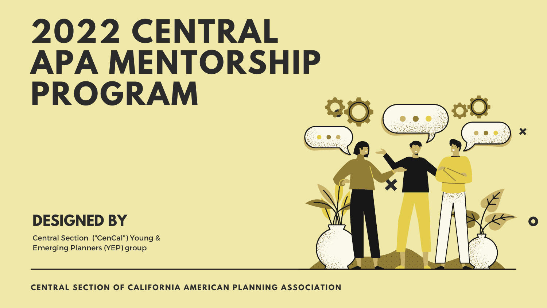**CENTRAL SECTION OF CALIFORNIA AMERICAN PLANNING ASSOCIATION**

# **2022 CENTRAL APA MENTORSHIP PROGRAM**





Central Section ("CenCal") Young & Emerging Planners (YEP) group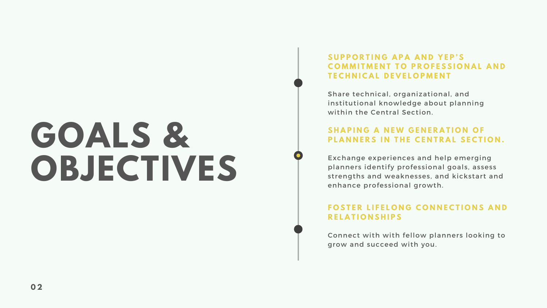# **GOALS & OBJECTIVES**

## **S U P P O R T I N G A P A A N D Y E P ' S COMMITMENT TO PROFESSIONAL AND T E C H N I C A L D E V E L O P M E N T**

### **S H A P I N G A N E W G E N E R A T I O N O F** PLANNERS IN THE CENTRAL SECTION.

Share technical, organizational, and institutional knowledge about planning within the Central Section.

### **FOSTER LIFELONG CONNECTIONS AND R E L A T I O N S H I P S**

Exchange experiences and help emerging planners identify professional goals, assess strengths and weaknesses, and kickstart and enhance professional growth.

Connect with with fellow planners looking to grow and succeed with you.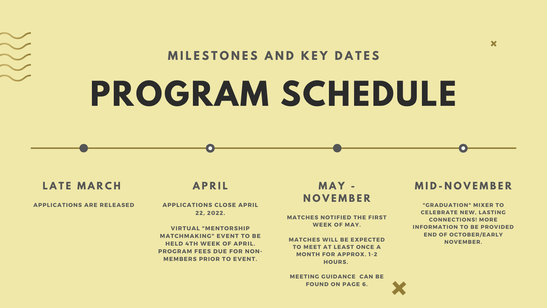# **PROGRAM SCHEDULE M I L E S T O N E S A N D K E Y D A T E S**

## **LATE MARCH**

### **APPLICATIONS ARE RELEASED**

## **A P R I L**

**APPLICATIONS CLOSE APRIL 22, 2022.**

**VIRTUAL "MENTORSHIP MATCHMAKING" EVENT TO BE HELD 4TH WEEK OF APRIL. PROGRAM FEES DUE FOR NON-MEMBERS PRIOR TO EVENT.**

## **M A Y - N O V E M B E R**

**MATCHES NOTIFIED THE FIRST WEEK OF MAY.**

**MATCHES WILL BE EXPECTED TO MEET AT LEAST ONCE A MONTH FOR APPROX. 1-2 HOURS.**

**MEETING GUIDANCE CAN BE FOUND ON PAGE 6.**



## **M I D - N O V E M B E R**

 $\bm{x}$ 

**["GRADUATION"](https://docs.google.com/spreadsheets/d/1DUF2isFWsqVSYhbaACYtbgcLi_YjDqpE3GLQIVgkKQg/edit#gid=69851113) MIXER TO CELEBRATE NEW, LASTING CONNECTIONS! MORE INFORMATION TO BE PROVIDED END OF OCTOBER/EARLY NOVEMBER.**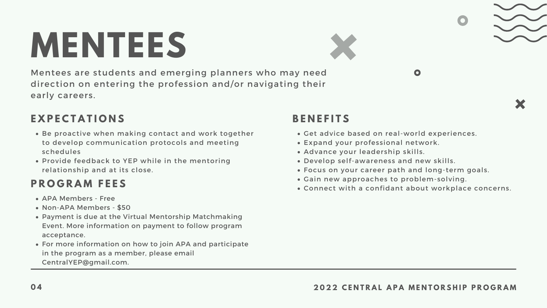# **MENTEES**

Mentees are students and emerging planners who may need direction on entering the profession and/or navigating their early careers.

# **E X P E C T A T I O N S**

- Be proactive when making contact and work together to develop communication protocols and meeting schedules
- Provide feedback to YEP while in the mentoring relationship and at its close.

## **B E N E F I T S**

- APA Members Free
- Non-APA Members \$50
- Payment is due at the Virtual Mentorship Matchmaking Event. More information on payment to follow program acceptance.
- For more information on how to join APA and participate in the program as a member, please email CentralYEP@gmail.com.
- Get advice based on real-world experiences.
- Expand your professional network.
- Advance your leadership skills.
- Develop self-awareness and new skills.
- Focus on your career path and long-term goals.
- Gain new approaches to problem-solving.
- Connect with a confidant about workplace concerns.



## 04 2022 CENTRAL APA MENTORSHIP PROGRAM

# **P R O G R A M F E E S**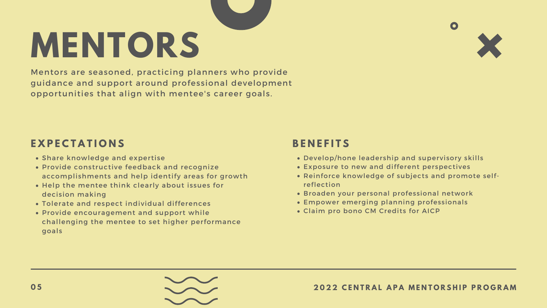**MENTORS**

Mentors are seasoned, practicing planners who provide guidance and support around professional development opportunities that align with mentee's career goals.

# **E X P E C T A T I O N S**

- Share knowledge and expertise
- Provide constructive feedback and recognize accomplishments and help identify areas for growth
- Help the mentee think clearly about issues for decision making
- Tolerate and respect individual differences
- Provide encouragement and support while challenging the mentee to set higher performance goals

## **B E N E F I T S**

Develop/hone leadership and supervisory skills Exposure to new and different perspectives Reinforce knowledge of subjects and promote self-

- 
- 
- reflection
- 
- 
- 





 $\bullet$ 

Broaden your personal professional network Empower emerging planning professionals Claim pro bono CM Credits for AICP

### 05 2022 CENTRAL APA MENTORSHIP PROGRAM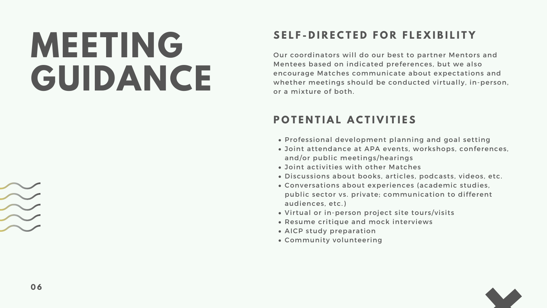# **MEETING GUIDANCE**

# SELF-DIRECTED FOR FLEXIBILITY

Our coordinators will do our best to partner Mentors and Mentees based on indicated preferences, but we also encourage Matches communicate about expectations and whether meetings should be conducted virtually, in-person, or a mixture of both.

# **P O T E N T I A L A C T I V I T I E S**

Professional development planning and goal setting Joint attendance at APA events, workshops, conferences, and/or public meetings/hearings Joint activities with other Matches Discussions about books, articles, podcasts, videos, etc. Conversations about experiences (academic studies, public sector vs. private; communication to different Virtual or in-person project site tours/visits Resume critique and mock interviews



- 
- 
- 
- 
- audiences, etc.)
- 
- 
- AICP study preparation
- Community volunteering